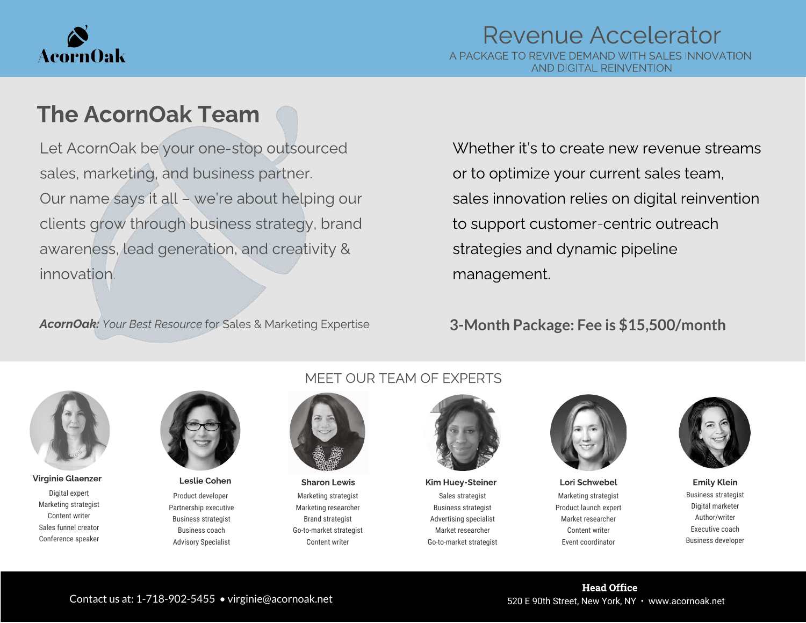

# The AcornOak Team

Let AcornOak be your one-stop outsourced sales, marketing, and business partner. Our name says it all – we're about helping our clients grow through business strategy, brand awareness, lead generation, and creativity & innovation.

AcornOak: Your Best Resource for Sales & Marketing Expertise

Whether it's to create new revenue streams or to optimize your current sales team, sales innovation relies on digital reinvention to support customer-centric outreach strategies and dynamic pipeline management.

### **3-Month Package: Fee is \$15,500/month**



Digital expert Marketing strategist Content writer Sales funnel creator Conference speaker Virginie Glaenzer Name Heslie Cohen Manne (Sharon Lewis Kim Huey-Steiner Name Lori Schwebel Emily Klein Emily



Product developer Partnership executive Business strategist Business coach Advisory Specialist

### MEET OUR TEAM OF EXPERTS



Marketing strategist Marketing researcher Brand strategist Go-to-market strategist Content writer



Sales strategist Business strategist Advertising specialist Market researcher Go-to-market strategist



Marketing strategist Product launch expert Market researcher Content writer Event coordinator



Business strategist Digital marketer Author/writer Executive coach Business developer